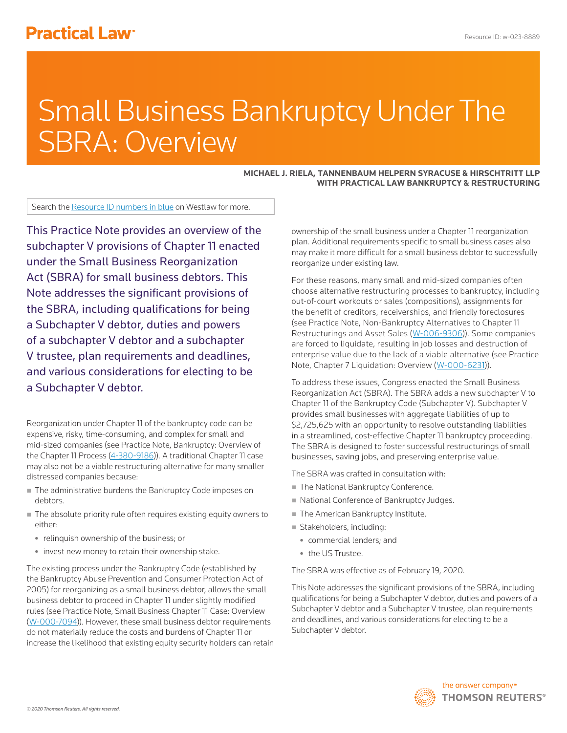# **Practical Law<sup>®</sup>**

# Small Business Bankruptcy Under The SBRA: Overview

#### **MICHAEL J. RIELA, TANNENBAUM HELPERN SYRACUSE & HIRSCHTRITT LLP WITH PRACTICAL LAW BANKRUPTCY & RESTRUCTURING**

Search the Resource ID numbers in blue on Westlaw for more.

This Practice Note provides an overview of the subchapter V provisions of Chapter 11 enacted under the Small Business Reorganization Act (SBRA) for small business debtors. This Note addresses the significant provisions of the SBRA, including qualifications for being a Subchapter V debtor, duties and powers of a subchapter V debtor and a subchapter V trustee, plan requirements and deadlines, and various considerations for electing to be a Subchapter V debtor.

Reorganization under Chapter 11 of the bankruptcy code can be expensive, risky, time-consuming, and complex for small and mid-sized companies (see Practice Note, Bankruptcy: Overview of the Chapter 11 Process (4-380-9186)). A traditional Chapter 11 case may also not be a viable restructuring alternative for many smaller distressed companies because:

- The administrative burdens the Bankruptcy Code imposes on debtors.
- The absolute priority rule often requires existing equity owners to either:
	- relinquish ownership of the business; or
	- invest new money to retain their ownership stake.

The existing process under the Bankruptcy Code (established by the Bankruptcy Abuse Prevention and Consumer Protection Act of 2005) for reorganizing as a small business debtor, allows the small business debtor to proceed in Chapter 11 under slightly modified rules (see Practice Note, Small Business Chapter 11 Case: Overview (W-000-7094)). However, these small business debtor requirements do not materially reduce the costs and burdens of Chapter 11 or increase the likelihood that existing equity security holders can retain ownership of the small business under a Chapter 11 reorganization plan. Additional requirements specific to small business cases also may make it more difficult for a small business debtor to successfully reorganize under existing law.

For these reasons, many small and mid-sized companies often choose alternative restructuring processes to bankruptcy, including out-of-court workouts or sales (compositions), assignments for the benefit of creditors, receiverships, and friendly foreclosures (see Practice Note, Non-Bankruptcy Alternatives to Chapter 11 Restructurings and Asset Sales (W-006-9306)). Some companies are forced to liquidate, resulting in job losses and destruction of enterprise value due to the lack of a viable alternative (see Practice Note, Chapter 7 Liquidation: Overview (W-000-6231)).

To address these issues, Congress enacted the Small Business Reorganization Act (SBRA). The SBRA adds a new subchapter V to Chapter 11 of the Bankruptcy Code (Subchapter V). Subchapter V provides small businesses with aggregate liabilities of up to \$2,725,625 with an opportunity to resolve outstanding liabilities in a streamlined, cost-effective Chapter 11 bankruptcy proceeding. The SBRA is designed to foster successful restructurings of small businesses, saving jobs, and preserving enterprise value.

The SBRA was crafted in consultation with:

- The National Bankruptcy Conference.
- National Conference of Bankruptcy Judges.
- The American Bankruptcy Institute.
- Stakeholders, including:
	- commercial lenders; and
	- the US Trustee.

The SBRA was effective as of February 19, 2020.

This Note addresses the significant provisions of the SBRA, including qualifications for being a Subchapter V debtor, duties and powers of a Subchapter V debtor and a Subchapter V trustee, plan requirements and deadlines, and various considerations for electing to be a Subchapter V debtor.

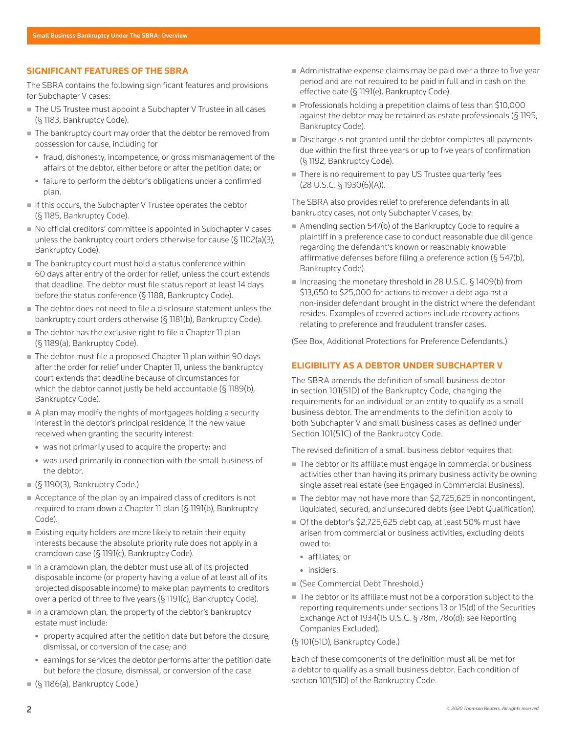# **SIGNIFICANT FEATURES OF THE SBRA**

The SBRA contains the following significant features and provisions for Subchapter V cases:

- The US Trustee must appoint a Subchapter V Trustee in all cases (§ 1183, Bankruptcy Code).
- The bankruptcy court may order that the debtor be removed from possession for cause, including for
	- fraud, dishonesty, incompetence, or gross mismanagement of the affairs of the debtor, either before or after the petition date; or
	- failure to perform the debtor's obligations under a confirmed plan.
- $\blacksquare$  If this occurs, the Subchapter V Trustee operates the debtor (§ 1185, Bankruptcy Code).
- No official creditors' committee is appointed in Subchapter V cases unless the bankruptcy court orders otherwise for cause (§ 1102(a)(3), Bankruptcy Code).
- The bankruptcy court must hold a status conference within 60 days after entry of the order for relief, unless the court extends that deadline. The debtor must file status report at least 14 days before the status conference (§ 1188, Bankruptcy Code).
- The debtor does not need to file a disclosure statement unless the bankruptcy court orders otherwise (§ 1181(b), Bankruptcy Code).
- The debtor has the exclusive right to file a Chapter 11 plan (§ 1189(a), Bankruptcy Code).
- The debtor must file a proposed Chapter 11 plan within 90 days after the order for relief under Chapter 11, unless the bankruptcy court extends that deadline because of circumstances for which the debtor cannot justly be held accountable (§ 1189(b), Bankruptcy Code).
- A plan may modify the rights of mortgagees holding a security interest in the debtor's principal residence, if the new value received when granting the security interest:
	- $*$  was not primarily used to acquire the property; and
	- was used primarily in connection with the small business of the debtor.
- (§ 1190(3), Bankruptcy Code.)
- Acceptance of the plan by an impaired class of creditors is not required to cram down a Chapter 11 plan (§ 1191(b), Bankruptcy Code).
- Existing equity holders are more likely to retain their equity interests because the absolute priority rule does not apply in a cramdown case (§ 1191(c), Bankruptcy Code).
- $\blacksquare$  In a cramdown plan, the debtor must use all of its projected disposable income (or property having a value of at least all of its projected disposable income) to make plan payments to creditors over a period of three to five years (§ 1191(c), Bankruptcy Code).
- $\blacksquare$  In a cramdown plan, the property of the debtor's bankruptcy estate must include:
	- property acquired after the petition date but before the closure, dismissal, or conversion of the case; and
	- earnings for services the debtor performs after the petition date but before the closure, dismissal, or conversion of the case
- (§ 1186(a), Bankruptcy Code.)
- Administrative expense claims may be paid over a three to five year period and are not required to be paid in full and in cash on the effective date (§ 1191(e), Bankruptcy Code).
- Professionals holding a prepetition claims of less than \$10,000 against the debtor may be retained as estate professionals ( $\S$  1195, Bankruptcy Code).
- Discharge is not granted until the debtor completes all payments due within the first three years or up to five years of confirmation (§ 1192, Bankruptcy Code).
- There is no requirement to pay US Trustee quarterly fees (28 U.S.C. § 1930(6)(A)).

The SBRA also provides relief to preference defendants in all bankruptcy cases, not only Subchapter V cases, by:

- Amending section 547(b) of the Bankruptcy Code to require a plaintiff in a preference case to conduct reasonable due diligence regarding the defendant's known or reasonably knowable affirmative defenses before filing a preference action (§ 547(b), Bankruptcy Code).
- Increasing the monetary threshold in 28 U.S.C. § 1409(b) from \$13,650 to \$25,000 for actions to recover a debt against a non-insider defendant brought in the district where the defendant resides. Examples of covered actions include recovery actions relating to preference and fraudulent transfer cases.

(See Box, Additional Protections for Preference Defendants.)

# **ELIGIBILITY AS A DEBTOR UNDER SUBCHAPTER V**

The SBRA amends the definition of small business debtor in section 101(51D) of the Bankruptcy Code, changing the requirements for an individual or an entity to qualify as a small business debtor. The amendments to the definition apply to both Subchapter V and small business cases as defined under Section 101(51C) of the Bankruptcy Code.

The revised definition of a small business debtor requires that:

- The debtor or its affiliate must engage in commercial or business activities other than having its primary business activity be owning single asset real estate (see Engaged in Commercial Business).
- The debtor may not have more than \$2,725,625 in noncontingent, liquidated, secured, and unsecured debts (see Debt Qualification).
- Of the debtor's \$2,725,625 debt cap, at least 50% must have arisen from commercial or business activities, excluding debts owed to:
	- affiliates; or
	- insiders.
- (See Commercial Debt Threshold.)
- The debtor or its affiliate must not be a corporation subject to the reporting requirements under sections 13 or 15(d) of the Securities Exchange Act of 1934(15 U.S.C. § 78m, 78o(d); see Reporting Companies Excluded).
- (§ 101(51D), Bankruptcy Code.)

Each of these components of the definition must all be met for a debtor to qualify as a small business debtor. Each condition of section 101(51D) of the Bankruptcy Code.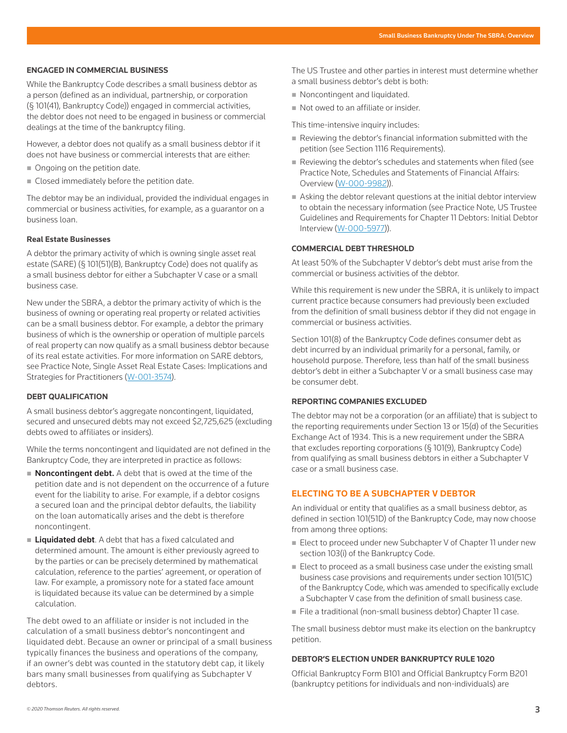#### **ENGAGED IN COMMERCIAL BUSINESS**

While the Bankruptcy Code describes a small business debtor as a person (defined as an individual, partnership, or corporation (§ 101(41), Bankruptcy Code)) engaged in commercial activities, the debtor does not need to be engaged in business or commercial dealings at the time of the bankruptcy filing.

However, a debtor does not qualify as a small business debtor if it does not have business or commercial interests that are either:

- Ongoing on the petition date.
- Closed immediately before the petition date.

The debtor may be an individual, provided the individual engages in commercial or business activities, for example, as a guarantor on a business loan.

#### **Real Estate Businesses**

A debtor the primary activity of which is owning single asset real estate (SARE) (§ 101(51)(B), Bankruptcy Code) does not qualify as a small business debtor for either a Subchapter V case or a small business case.

New under the SBRA, a debtor the primary activity of which is the business of owning or operating real property or related activities can be a small business debtor. For example, a debtor the primary business of which is the ownership or operation of multiple parcels of real property can now qualify as a small business debtor because of its real estate activities. For more information on SARE debtors, see Practice Note, Single Asset Real Estate Cases: Implications and Strategies for Practitioners (W-001-3574).

#### **DEBT QUALIFICATION**

A small business debtor's aggregate noncontingent, liquidated, secured and unsecured debts may not exceed \$2,725,625 (excluding debts owed to affiliates or insiders).

While the terms noncontingent and liquidated are not defined in the Bankruptcy Code, they are interpreted in practice as follows:

- Noncontingent debt. A debt that is owed at the time of the petition date and is not dependent on the occurrence of a future event for the liability to arise. For example, if a debtor cosigns a secured loan and the principal debtor defaults, the liability on the loan automatically arises and the debt is therefore noncontingent.
- **Liquidated debt.** A debt that has a fixed calculated and determined amount. The amount is either previously agreed to by the parties or can be precisely determined by mathematical calculation, reference to the parties' agreement, or operation of law. For example, a promissory note for a stated face amount is liquidated because its value can be determined by a simple calculation.

The debt owed to an affiliate or insider is not included in the calculation of a small business debtor's noncontingent and liquidated debt. Because an owner or principal of a small business typically finances the business and operations of the company, if an owner's debt was counted in the statutory debt cap, it likely bars many small businesses from qualifying as Subchapter V debtors.

The US Trustee and other parties in interest must determine whether a small business debtor's debt is both:

- Noncontingent and liquidated.
- Not owed to an affiliate or insider.

This time-intensive inquiry includes:

- Reviewing the debtor's financial information submitted with the petition (see Section 1116 Requirements).
- Reviewing the debtor's schedules and statements when filed (see Practice Note, Schedules and Statements of Financial Affairs: Overview (W-000-9982)).
- Asking the debtor relevant questions at the initial debtor interview to obtain the necessary information (see Practice Note, US Trustee Guidelines and Requirements for Chapter 11 Debtors: Initial Debtor Interview (W-000-5977)).

#### **COMMERCIAL DEBT THRESHOLD**

At least 50% of the Subchapter V debtor's debt must arise from the commercial or business activities of the debtor.

While this requirement is new under the SBRA, it is unlikely to impact current practice because consumers had previously been excluded from the definition of small business debtor if they did not engage in commercial or business activities.

Section 101(8) of the Bankruptcy Code defines consumer debt as debt incurred by an individual primarily for a personal, family, or household purpose. Therefore, less than half of the small business debtor's debt in either a Subchapter V or a small business case may be consumer debt.

# **REPORTING COMPANIES EXCLUDED**

The debtor may not be a corporation (or an affiliate) that is subject to the reporting requirements under Section 13 or 15(d) of the Securities Exchange Act of 1934. This is a new requirement under the SBRA that excludes reporting corporations (§ 101(9), Bankruptcy Code) from qualifying as small business debtors in either a Subchapter V case or a small business case.

# **ELECTING TO BE A SUBCHAPTER V DEBTOR**

An individual or entity that qualifies as a small business debtor, as defined in section 101(51D) of the Bankruptcy Code, may now choose from among three options:

- Elect to proceed under new Subchapter V of Chapter 11 under new section 103(i) of the Bankruptcy Code.
- $\blacksquare$  Elect to proceed as a small business case under the existing small business case provisions and requirements under section 101(51C) of the Bankruptcy Code, which was amended to specifically exclude a Subchapter V case from the definition of small business case.
- File a traditional (non-small business debtor) Chapter 11 case.

The small business debtor must make its election on the bankruptcy petition.

#### **DEBTOR'S ELECTION UNDER BANKRUPTCY RULE 1020**

Official Bankruptcy Form B101 and Official Bankruptcy Form B201 (bankruptcy petitions for individuals and non-individuals) are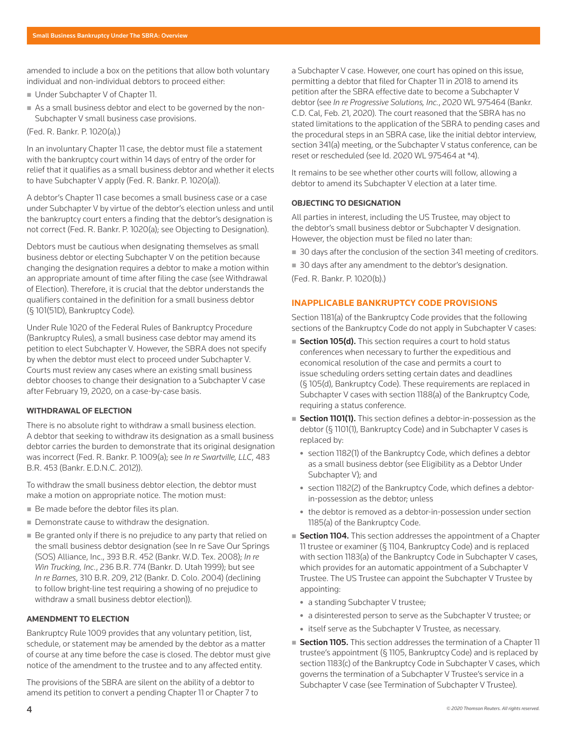amended to include a box on the petitions that allow both voluntary individual and non-individual debtors to proceed either:

- Under Subchapter V of Chapter 11.
- As a small business debtor and elect to be governed by the non-Subchapter V small business case provisions.
- (Fed. R. Bankr. P. 1020(a).)

In an involuntary Chapter 11 case, the debtor must file a statement with the bankruptcy court within 14 days of entry of the order for relief that it qualifies as a small business debtor and whether it elects to have Subchapter V apply (Fed. R. Bankr. P. 1020(a)).

A debtor's Chapter 11 case becomes a small business case or a case under Subchapter V by virtue of the debtor's election unless and until the bankruptcy court enters a finding that the debtor's designation is not correct (Fed. R. Bankr. P. 1020(a); see Objecting to Designation).

Debtors must be cautious when designating themselves as small business debtor or electing Subchapter V on the petition because changing the designation requires a debtor to make a motion within an appropriate amount of time after filing the case (see Withdrawal of Election). Therefore, it is crucial that the debtor understands the qualifiers contained in the definition for a small business debtor (§ 101(51D), Bankruptcy Code).

Under Rule 1020 of the Federal Rules of Bankruptcy Procedure (Bankruptcy Rules), a small business case debtor may amend its petition to elect Subchapter V. However, the SBRA does not specify by when the debtor must elect to proceed under Subchapter V. Courts must review any cases where an existing small business debtor chooses to change their designation to a Subchapter V case after February 19, 2020, on a case-by-case basis.

#### **WITHDRAWAL OF ELECTION**

There is no absolute right to withdraw a small business election. A debtor that seeking to withdraw its designation as a small business debtor carries the burden to demonstrate that its original designation was incorrect (Fed. R. Bankr. P. 1009(a); see *In re Swartville, LLC*, 483 B.R. 453 (Bankr. E.D.N.C. 2012)).

To withdraw the small business debtor election, the debtor must make a motion on appropriate notice. The motion must:

- Be made before the debtor files its plan.
- Demonstrate cause to withdraw the designation.
- Be granted only if there is no prejudice to any party that relied on the small business debtor designation (see In re Save Our Springs (SOS) Alliance, Inc., 393 B.R. 452 (Bankr. W.D. Tex. 2008); *In re Win Trucking, Inc.*, 236 B.R. 774 (Bankr. D. Utah 1999); but see *In re Barnes*, 310 B.R. 209, 212 (Bankr. D. Colo. 2004) (declining to follow bright-line test requiring a showing of no prejudice to withdraw a small business debtor election)).

# **AMENDMENT TO ELECTION**

Bankruptcy Rule 1009 provides that any voluntary petition, list, schedule, or statement may be amended by the debtor as a matter of course at any time before the case is closed. The debtor must give notice of the amendment to the trustee and to any affected entity.

The provisions of the SBRA are silent on the ability of a debtor to amend its petition to convert a pending Chapter 11 or Chapter 7 to a Subchapter V case. However, one court has opined on this issue, permitting a debtor that filed for Chapter 11 in 2018 to amend its petition after the SBRA effective date to become a Subchapter V debtor (see *In re Progressive Solutions, Inc.*, 2020 WL 975464 (Bankr. C.D. Cal, Feb. 21, 2020). The court reasoned that the SBRA has no stated limitations to the application of the SBRA to pending cases and the procedural steps in an SBRA case, like the initial debtor interview, section 341(a) meeting, or the Subchapter V status conference, can be reset or rescheduled (see Id. 2020 WL 975464 at \*4).

It remains to be see whether other courts will follow, allowing a debtor to amend its Subchapter V election at a later time.

# **OBJECTING TO DESIGNATION**

All parties in interest, including the US Trustee, may object to the debtor's small business debtor or Subchapter V designation. However, the objection must be filed no later than:

- 30 days after the conclusion of the section 341 meeting of creditors.
- 30 days after any amendment to the debtor's designation.

(Fed. R. Bankr. P. 1020(b).)

# **INAPPLICABLE BANKRUPTCY CODE PROVISIONS**

Section 1181(a) of the Bankruptcy Code provides that the following sections of the Bankruptcy Code do not apply in Subchapter V cases:

- **Section 105(d).** This section requires a court to hold status conferences when necessary to further the expeditious and economical resolution of the case and permits a court to issue scheduling orders setting certain dates and deadlines (§ 105(d), Bankruptcy Code). These requirements are replaced in Subchapter V cases with section 1188(a) of the Bankruptcy Code, requiring a status conference.
- Section 1101(1). This section defines a debtor-in-possession as the debtor (§ 1101(1), Bankruptcy Code) and in Subchapter V cases is replaced by:
	- section 1182(1) of the Bankruptcy Code, which defines a debtor as a small business debtor (see Eligibility as a Debtor Under Subchapter V); and
	- section 1182(2) of the Bankruptcy Code, which defines a debtorin-possession as the debtor; unless
	- the debtor is removed as a debtor-in-possession under section 1185(a) of the Bankruptcy Code.
- Section 1104. This section addresses the appointment of a Chapter 11 trustee or examiner (§ 1104, Bankruptcy Code) and is replaced with section 1183(a) of the Bankruptcy Code in Subchapter V cases, which provides for an automatic appointment of a Subchapter V Trustee. The US Trustee can appoint the Subchapter V Trustee by appointing:
	- a standing Subchapter V trustee;
	- a disinterested person to serve as the Subchapter V trustee; or
	- itself serve as the Subchapter V Trustee, as necessary.
- **Section 1105.** This section addresses the termination of a Chapter 11 trustee's appointment (§ 1105, Bankruptcy Code) and is replaced by section 1183(c) of the Bankruptcy Code in Subchapter V cases, which governs the termination of a Subchapter V Trustee's service in a Subchapter V case (see Termination of Subchapter V Trustee).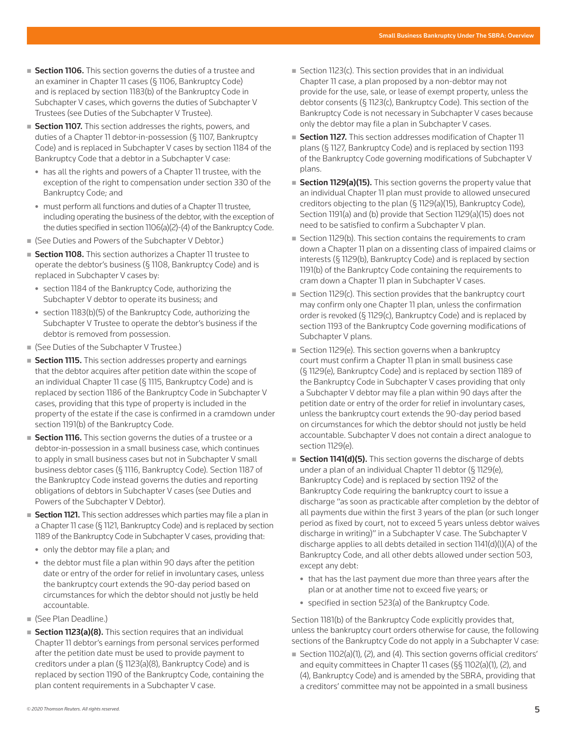- Section 1106. This section governs the duties of a trustee and an examiner in Chapter 11 cases (§ 1106, Bankruptcy Code) and is replaced by section 1183(b) of the Bankruptcy Code in Subchapter V cases, which governs the duties of Subchapter V Trustees (see Duties of the Subchapter V Trustee).
- **Section 1107.** This section addresses the rights, powers, and duties of a Chapter 11 debtor-in-possession (§ 1107, Bankruptcy Code) and is replaced in Subchapter V cases by section 1184 of the Bankruptcy Code that a debtor in a Subchapter V case:
	- has all the rights and powers of a Chapter 11 trustee, with the exception of the right to compensation under section 330 of the Bankruptcy Code; and
	- must perform all functions and duties of a Chapter 11 trustee, including operating the business of the debtor, with the exception of the duties specified in section 1106(a)(2)-(4) of the Bankruptcy Code.
- (See Duties and Powers of the Subchapter V Debtor.)
- Section 1108. This section authorizes a Chapter 11 trustee to operate the debtor's business (§ 1108, Bankruptcy Code) and is replaced in Subchapter V cases by:
	- section 1184 of the Bankruptcy Code, authorizing the Subchapter V debtor to operate its business; and
	- section 1183(b)(5) of the Bankruptcy Code, authorizing the Subchapter V Trustee to operate the debtor's business if the debtor is removed from possession.
- (See Duties of the Subchapter V Trustee.)
- **Section 1115.** This section addresses property and earnings that the debtor acquires after petition date within the scope of an individual Chapter 11 case (§ 1115, Bankruptcy Code) and is replaced by section 1186 of the Bankruptcy Code in Subchapter V cases, providing that this type of property is included in the property of the estate if the case is confirmed in a cramdown under section 1191(b) of the Bankruptcy Code.
- Section 1116. This section governs the duties of a trustee or a debtor-in-possession in a small business case, which continues to apply in small business cases but not in Subchapter V small business debtor cases (§ 1116, Bankruptcy Code). Section 1187 of the Bankruptcy Code instead governs the duties and reporting obligations of debtors in Subchapter V cases (see Duties and Powers of the Subchapter V Debtor).
- Section 1121. This section addresses which parties may file a plan in a Chapter 11 case (§ 1121, Bankruptcy Code) and is replaced by section 1189 of the Bankruptcy Code in Subchapter V cases, providing that:
	- only the debtor may file a plan; and
	- the debtor must file a plan within 90 days after the petition date or entry of the order for relief in involuntary cases, unless the bankruptcy court extends the 90-day period based on circumstances for which the debtor should not justly be held accountable.
- (See Plan Deadline.)
- Section 1123(a)(8). This section requires that an individual Chapter 11 debtor's earnings from personal services performed after the petition date must be used to provide payment to creditors under a plan (§ 1123(a)(8), Bankruptcy Code) and is replaced by section 1190 of the Bankruptcy Code, containing the plan content requirements in a Subchapter V case.
- Section 1123(c). This section provides that in an individual Chapter 11 case, a plan proposed by a non-debtor may not provide for the use, sale, or lease of exempt property, unless the debtor consents (§ 1123(c), Bankruptcy Code). This section of the Bankruptcy Code is not necessary in Subchapter V cases because only the debtor may file a plan in Subchapter V cases.
- **Section 1127.** This section addresses modification of Chapter 11 plans (§ 1127, Bankruptcy Code) and is replaced by section 1193 of the Bankruptcy Code governing modifications of Subchapter V plans.
- Section 1129(a)(15). This section governs the property value that an individual Chapter 11 plan must provide to allowed unsecured creditors objecting to the plan (§ 1129(a)(15), Bankruptcy Code), Section 1191(a) and (b) provide that Section 1129(a)(15) does not need to be satisfied to confirm a Subchapter V plan.
- Section 1129(b). This section contains the requirements to cram down a Chapter 11 plan on a dissenting class of impaired claims or interests (§ 1129(b), Bankruptcy Code) and is replaced by section 1191(b) of the Bankruptcy Code containing the requirements to cram down a Chapter 11 plan in Subchapter V cases.
- Section 1129(c). This section provides that the bankruptcy court may confirm only one Chapter 11 plan, unless the confirmation order is revoked (§ 1129(c), Bankruptcy Code) and is replaced by section 1193 of the Bankruptcy Code governing modifications of Subchapter V plans.
- Section 1129(e). This section governs when a bankruptcy court must confirm a Chapter 11 plan in small business case (§ 1129(e), Bankruptcy Code) and is replaced by section 1189 of the Bankruptcy Code in Subchapter V cases providing that only a Subchapter V debtor may file a plan within 90 days after the petition date or entry of the order for relief in involuntary cases, unless the bankruptcy court extends the 90-day period based on circumstances for which the debtor should not justly be held accountable. Subchapter V does not contain a direct analogue to section 1129(e).
- Section 1141(d)(5). This section governs the discharge of debts under a plan of an individual Chapter 11 debtor (§ 1129(e), Bankruptcy Code) and is replaced by section 1192 of the Bankruptcy Code requiring the bankruptcy court to issue a discharge "as soon as practicable after completion by the debtor of all payments due within the first 3 years of the plan (or such longer period as fixed by court, not to exceed 5 years unless debtor waives discharge in writing)" in a Subchapter V case. The Subchapter V discharge applies to all debts detailed in section 1141(d)(l)(A) of the Bankruptcy Code, and all other debts allowed under section 503, except any debt:
	- that has the last payment due more than three years after the plan or at another time not to exceed five years; or
	- $\bullet$  specified in section 523(a) of the Bankruptcy Code.

Section 1181(b) of the Bankruptcy Code explicitly provides that, unless the bankruptcy court orders otherwise for cause, the following sections of the Bankruptcy Code do not apply in a Subchapter V case:

■ Section 1102(a)(1), (2), and (4). This section governs official creditors' and equity committees in Chapter 11 cases (§§ 1102(a)(1), (2), and (4), Bankruptcy Code) and is amended by the SBRA, providing that a creditors' committee may not be appointed in a small business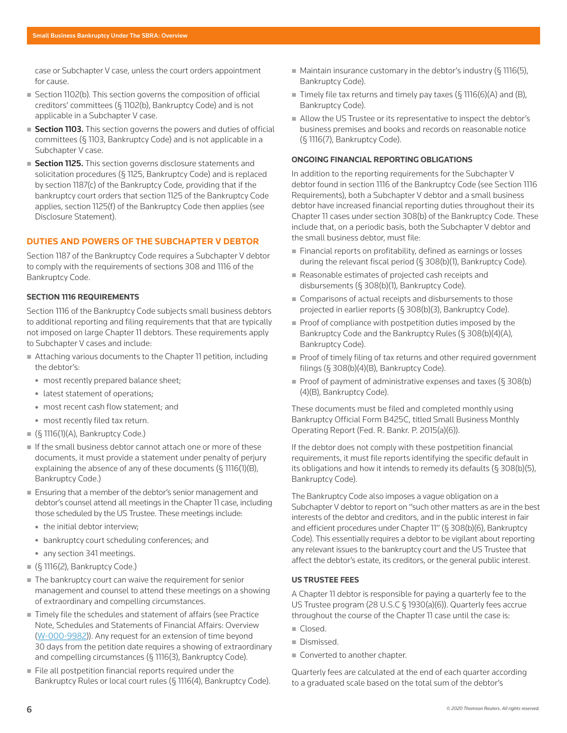case or Subchapter V case, unless the court orders appointment for cause.

- Section 1102(b). This section governs the composition of official creditors' committees (§ 1102(b), Bankruptcy Code) and is not applicable in a Subchapter V case.
- Section 1103. This section governs the powers and duties of official committees (§ 1103, Bankruptcy Code) and is not applicable in a Subchapter V case.
- Section 1125. This section governs disclosure statements and solicitation procedures (§ 1125, Bankruptcy Code) and is replaced by section 1187(c) of the Bankruptcy Code, providing that if the bankruptcy court orders that section 1125 of the Bankruptcy Code applies, section 1125(f) of the Bankruptcy Code then applies (see Disclosure Statement).

# **DUTIES AND POWERS OF THE SUBCHAPTER V DEBTOR**

Section 1187 of the Bankruptcy Code requires a Subchapter V debtor to comply with the requirements of sections 308 and 1116 of the Bankruptcy Code.

#### **SECTION 1116 REQUIREMENTS**

Section 1116 of the Bankruptcy Code subjects small business debtors to additional reporting and filing requirements that that are typically not imposed on large Chapter 11 debtors. These requirements apply to Subchapter V cases and include:

- Attaching various documents to the Chapter 11 petition, including the debtor's:
	- most recently prepared balance sheet;
	- latest statement of operations;
	- most recent cash flow statement; and
	- most recently filed tax return.
- $($ § 1116(1)(A), Bankruptcy Code.)
- If the small business debtor cannot attach one or more of these documents, it must provide a statement under penalty of perjury explaining the absence of any of these documents (§ 1116(1)(B), Bankruptcy Code.)
- Ensuring that a member of the debtor's senior management and debtor's counsel attend all meetings in the Chapter 11 case, including those scheduled by the US Trustee. These meetings include:
	- $\bullet$  the initial debtor interview;
	- bankruptcy court scheduling conferences; and
	- any section 341 meetings.
- $(§ 1116(2),$  Bankruptcy Code.)
- The bankruptcy court can waive the requirement for senior management and counsel to attend these meetings on a showing of extraordinary and compelling circumstances.
- Timely file the schedules and statement of affairs (see Practice Note, Schedules and Statements of Financial Affairs: Overview (W-000-9982)). Any request for an extension of time beyond 30 days from the petition date requires a showing of extraordinary and compelling circumstances (§ 1116(3), Bankruptcy Code).
- File all postpetition financial reports required under the Bankruptcy Rules or local court rules (§ 1116(4), Bankruptcy Code).
- $\blacksquare$  Maintain insurance customary in the debtor's industry (§ 1116(5), Bankruptcy Code).
- Timely file tax returns and timely pay taxes  $($ § 1116 $($ 6 $)$  $($ A $)$  and  $($ B $)$  $)$ , Bankruptcy Code).
- Allow the US Trustee or its representative to inspect the debtor's business premises and books and records on reasonable notice (§ 1116(7), Bankruptcy Code).

#### **ONGOING FINANCIAL REPORTING OBLIGATIONS**

In addition to the reporting requirements for the Subchapter V debtor found in section 1116 of the Bankruptcy Code (see Section 1116 Requirements), both a Subchapter V debtor and a small business debtor have increased financial reporting duties throughout their its Chapter 11 cases under section 308(b) of the Bankruptcy Code. These include that, on a periodic basis, both the Subchapter V debtor and the small business debtor, must file:

- Financial reports on profitability, defined as earnings or losses during the relevant fiscal period (§ 308(b)(1), Bankruptcy Code).
- Reasonable estimates of projected cash receipts and disbursements (§ 308(b)(1), Bankruptcy Code).
- Comparisons of actual receipts and disbursements to those projected in earlier reports (§ 308(b)(3), Bankruptcy Code).
- $\blacksquare$  Proof of compliance with postpetition duties imposed by the Bankruptcy Code and the Bankruptcy Rules (§ 308(b)(4)(A), Bankruptcy Code).
- Proof of timely filing of tax returns and other required government filings (§ 308(b)(4)(B), Bankruptcy Code).
- Proof of payment of administrative expenses and taxes  $(S308(b)$ (4)(B), Bankruptcy Code).

These documents must be filed and completed monthly using Bankruptcy Official Form B425C, titled Small Business Monthly Operating Report (Fed. R. Bankr. P. 2015(a)(6)).

If the debtor does not comply with these postpetition financial requirements, it must file reports identifying the specific default in its obligations and how it intends to remedy its defaults ( $\S$  308(b)(5), Bankruptcy Code).

The Bankruptcy Code also imposes a vague obligation on a Subchapter V debtor to report on "such other matters as are in the best interests of the debtor and creditors, and in the public interest in fair and efficient procedures under Chapter 11" (§ 308(b)(6), Bankruptcy Code). This essentially requires a debtor to be vigilant about reporting any relevant issues to the bankruptcy court and the US Trustee that affect the debtor's estate, its creditors, or the general public interest.

# **US TRUSTEE FEES**

A Chapter 11 debtor is responsible for paying a quarterly fee to the US Trustee program (28 U.S.C § 1930(a)(6)). Quarterly fees accrue throughout the course of the Chapter 11 case until the case is:

- Closed.
- **Dismissed.**
- Converted to another chapter.

Quarterly fees are calculated at the end of each quarter according to a graduated scale based on the total sum of the debtor's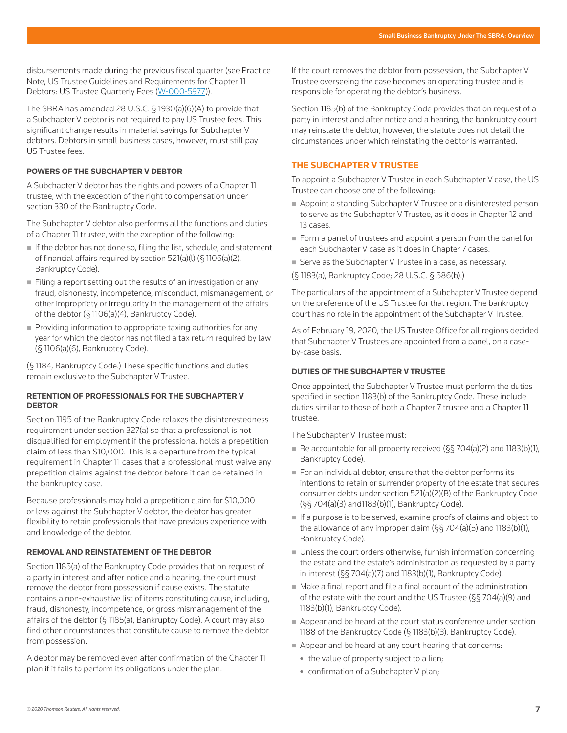disbursements made during the previous fiscal quarter (see Practice Note, US Trustee Guidelines and Requirements for Chapter 11 Debtors: US Trustee Quarterly Fees (W-000-5977)).

The SBRA has amended 28 U.S.C. § 1930(a)(6)(A) to provide that a Subchapter V debtor is not required to pay US Trustee fees. This significant change results in material savings for Subchapter V debtors. Debtors in small business cases, however, must still pay US Trustee fees.

#### **POWERS OF THE SUBCHAPTER V DEBTOR**

A Subchapter V debtor has the rights and powers of a Chapter 11 trustee, with the exception of the right to compensation under section 330 of the Bankruptcy Code.

The Subchapter V debtor also performs all the functions and duties of a Chapter 11 trustee, with the exception of the following:

- If the debtor has not done so, filing the list, schedule, and statement of financial affairs required by section 521(a)(l) (§ 1106(a)(2), Bankruptcy Code).
- $\blacksquare$  Filing a report setting out the results of an investigation or any fraud, dishonesty, incompetence, misconduct, mismanagement, or other impropriety or irregularity in the management of the affairs of the debtor (§ 1106(a)(4), Bankruptcy Code).
- Providing information to appropriate taxing authorities for any year for which the debtor has not filed a tax return required by law (§ 1106(a)(6), Bankruptcy Code).

(§ 1184, Bankruptcy Code.) These specific functions and duties remain exclusive to the Subchapter V Trustee.

#### **RETENTION OF PROFESSIONALS FOR THE SUBCHAPTER V DEBTOR**

Section 1195 of the Bankruptcy Code relaxes the disinterestedness requirement under section 327(a) so that a professional is not disqualified for employment if the professional holds a prepetition claim of less than \$10,000. This is a departure from the typical requirement in Chapter 11 cases that a professional must waive any prepetition claims against the debtor before it can be retained in the bankruptcy case.

Because professionals may hold a prepetition claim for \$10,000 or less against the Subchapter V debtor, the debtor has greater flexibility to retain professionals that have previous experience with and knowledge of the debtor.

### **REMOVAL AND REINSTATEMENT OF THE DEBTOR**

Section 1185(a) of the Bankruptcy Code provides that on request of a party in interest and after notice and a hearing, the court must remove the debtor from possession if cause exists. The statute contains a non-exhaustive list of items constituting cause, including, fraud, dishonesty, incompetence, or gross mismanagement of the affairs of the debtor (§ 1185(a), Bankruptcy Code). A court may also find other circumstances that constitute cause to remove the debtor from possession.

A debtor may be removed even after confirmation of the Chapter 11 plan if it fails to perform its obligations under the plan.

If the court removes the debtor from possession, the Subchapter V Trustee overseeing the case becomes an operating trustee and is responsible for operating the debtor's business.

Section 1185(b) of the Bankruptcy Code provides that on request of a party in interest and after notice and a hearing, the bankruptcy court may reinstate the debtor, however, the statute does not detail the circumstances under which reinstating the debtor is warranted.

# **THE SUBCHAPTER V TRUSTEE**

To appoint a Subchapter V Trustee in each Subchapter V case, the US Trustee can choose one of the following:

- Appoint a standing Subchapter V Trustee or a disinterested person to serve as the Subchapter V Trustee, as it does in Chapter 12 and 13 cases.
- Form a panel of trustees and appoint a person from the panel for each Subchapter V case as it does in Chapter 7 cases.
- Serve as the Subchapter V Trustee in a case, as necessary.
- (§ 1183(a), Bankruptcy Code; 28 U.S.C. § 586(b).)

The particulars of the appointment of a Subchapter V Trustee depend on the preference of the US Trustee for that region. The bankruptcy court has no role in the appointment of the Subchapter V Trustee.

As of February 19, 2020, the US Trustee Office for all regions decided that Subchapter V Trustees are appointed from a panel, on a caseby-case basis.

# **DUTIES OF THE SUBCHAPTER V TRUSTEE**

Once appointed, the Subchapter V Trustee must perform the duties specified in section 1183(b) of the Bankruptcy Code. These include duties similar to those of both a Chapter 7 trustee and a Chapter 11 trustee.

The Subchapter V Trustee must:

- Be accountable for all property received  $(S_{5}704(a)(2)$  and 1183(b)(1), Bankruptcy Code).
- For an individual debtor, ensure that the debtor performs its intentions to retain or surrender property of the estate that secures consumer debts under section 521(a)(2)(B) of the Bankruptcy Code (§§ 704(a)(3) and1183(b)(1), Bankruptcy Code).
- If a purpose is to be served, examine proofs of claims and object to the allowance of any improper claim (§§ 704(a)(5) and 1183(b)(1), Bankruptcy Code).
- Unless the court orders otherwise, furnish information concerning the estate and the estate's administration as requested by a party in interest (§§ 704(a)(7) and 1183(b)(1), Bankruptcy Code).
- Make a final report and file a final account of the administration of the estate with the court and the US Trustee (§§ 704(a)(9) and 1183(b)(1), Bankruptcy Code).
- Appear and be heard at the court status conference under section 1188 of the Bankruptcy Code (§ 1183(b)(3), Bankruptcy Code).
- Appear and be heard at any court hearing that concerns:
	- the value of property subject to a lien;
	- confirmation of a Subchapter V plan;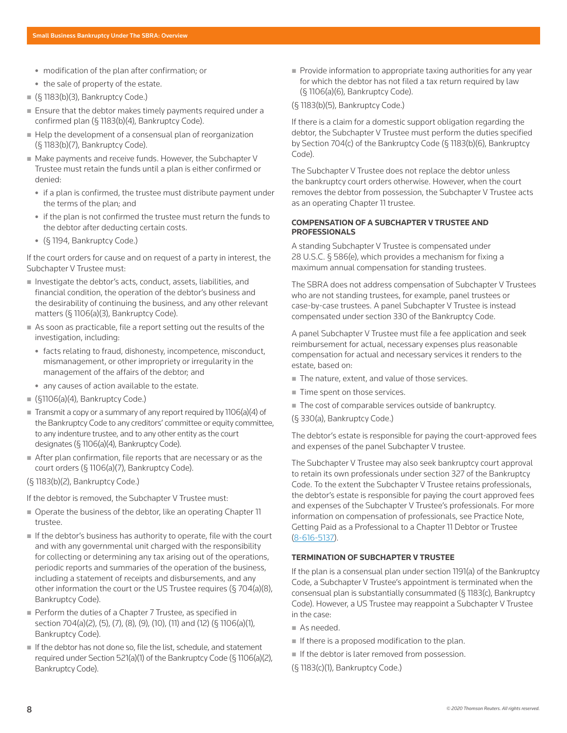- modification of the plan after confirmation; or
- the sale of property of the estate.
- $(§ 1183(b)(3),$  Bankruptcy Code.)
- **Ensure that the debtor makes timely payments required under a** confirmed plan (§ 1183(b)(4), Bankruptcy Code).
- Help the development of a consensual plan of reorganization (§ 1183(b)(7), Bankruptcy Code).
- Make payments and receive funds. However, the Subchapter V Trustee must retain the funds until a plan is either confirmed or denied:
	- if a plan is confirmed, the trustee must distribute payment under the terms of the plan; and
	- if the plan is not confirmed the trustee must return the funds to the debtor after deducting certain costs.
	- <sup>z</sup> (§ 1194, Bankruptcy Code.)

If the court orders for cause and on request of a party in interest, the Subchapter V Trustee must:

- Investigate the debtor's acts, conduct, assets, liabilities, and financial condition, the operation of the debtor's business and the desirability of continuing the business, and any other relevant matters (§ 1106(a)(3), Bankruptcy Code).
- As soon as practicable, file a report setting out the results of the investigation, including:
	- facts relating to fraud, dishonesty, incompetence, misconduct, mismanagement, or other impropriety or irregularity in the management of the affairs of the debtor; and
	- any causes of action available to the estate.
- $($ [§1106(a)(4), Bankruptcy Code.)
- $\blacksquare$  Transmit a copy or a summary of any report required by 1106(a)(4) of the Bankruptcy Code to any creditors' committee or equity committee, to any indenture trustee, and to any other entity as the court designates (§ 1106(a)(4), Bankruptcy Code).
- After plan confirmation, file reports that are necessary or as the court orders (§ 1106(a)(7), Bankruptcy Code).
- (§ 1183(b)(2), Bankruptcy Code.)

If the debtor is removed, the Subchapter V Trustee must:

- Operate the business of the debtor, like an operating Chapter 11 trustee.
- $\blacksquare$  If the debtor's business has authority to operate, file with the court and with any governmental unit charged with the responsibility for collecting or determining any tax arising out of the operations, periodic reports and summaries of the operation of the business, including a statement of receipts and disbursements, and any other information the court or the US Trustee requires (§ 704(a)(8), Bankruptcy Code).
- Perform the duties of a Chapter 7 Trustee, as specified in section 704(a)(2), (5), (7), (8), (9), (10), (11) and (12) (§ 1106(a)(1), Bankruptcy Code).
- If the debtor has not done so, file the list, schedule, and statement required under Section 521(a)(1) of the Bankruptcy Code (§ 1106(a)(2), Bankruptcy Code).

Provide information to appropriate taxing authorities for any year for which the debtor has not filed a tax return required by law (§ 1106(a)(6), Bankruptcy Code).

#### (§ 1183(b)(5), Bankruptcy Code.)

If there is a claim for a domestic support obligation regarding the debtor, the Subchapter V Trustee must perform the duties specified by Section 704(c) of the Bankruptcy Code (§ 1183(b)(6), Bankruptcy Code).

The Subchapter V Trustee does not replace the debtor unless the bankruptcy court orders otherwise. However, when the court removes the debtor from possession, the Subchapter V Trustee acts as an operating Chapter 11 trustee.

#### **COMPENSATION OF A SUBCHAPTER V TRUSTEE AND PROFESSIONALS**

A standing Subchapter V Trustee is compensated under 28 U.S.C. § 586(e), which provides a mechanism for fixing a maximum annual compensation for standing trustees.

The SBRA does not address compensation of Subchapter V Trustees who are not standing trustees, for example, panel trustees or case-by-case trustees. A panel Subchapter V Trustee is instead compensated under section 330 of the Bankruptcy Code.

A panel Subchapter V Trustee must file a fee application and seek reimbursement for actual, necessary expenses plus reasonable compensation for actual and necessary services it renders to the estate, based on:

- $\blacksquare$  The nature, extent, and value of those services.
- $\blacksquare$  Time spent on those services.
- The cost of comparable services outside of bankruptcy.
- (§ 330(a), Bankruptcy Code.)

The debtor's estate is responsible for paying the court-approved fees and expenses of the panel Subchapter V trustee.

The Subchapter V Trustee may also seek bankruptcy court approval to retain its own professionals under section 327 of the Bankruptcy Code. To the extent the Subchapter V Trustee retains professionals, the debtor's estate is responsible for paying the court approved fees and expenses of the Subchapter V Trustee's professionals. For more information on compensation of professionals, see Practice Note, Getting Paid as a Professional to a Chapter 11 Debtor or Trustee (8-616-5137).

#### **TERMINATION OF SUBCHAPTER V TRUSTEE**

If the plan is a consensual plan under section 1191(a) of the Bankruptcy Code, a Subchapter V Trustee's appointment is terminated when the consensual plan is substantially consummated (§ 1183(c), Bankruptcy Code). However, a US Trustee may reappoint a Subchapter V Trustee in the case:

- As needed.
- If there is a proposed modification to the plan.
- $\blacksquare$  If the debtor is later removed from possession.
- (§ 1183(c)(1), Bankruptcy Code.)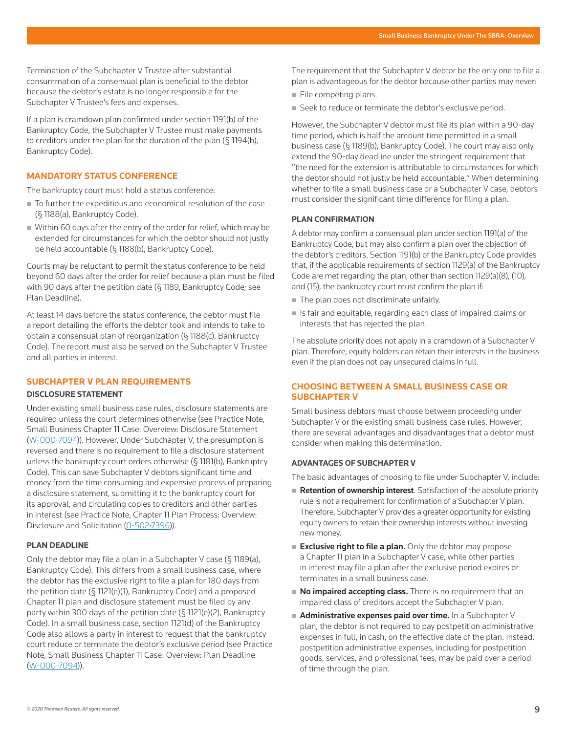Termination of the Subchapter V Trustee after substantial consummation of a consensual plan is beneficial to the debtor because the debtor's estate is no longer responsible for the Subchapter V Trustee's fees and expenses.

If a plan is cramdown plan confirmed under section 1191(b) of the Bankruptcy Code, the Subchapter V Trustee must make payments to creditors under the plan for the duration of the plan  $(\S 1194(b),$ Bankruptcy Code).

#### **MANDATORY STATUS CONFERENCE**

The bankruptcy court must hold a status conference:

- To further the expeditious and economical resolution of the case (§ 1188(a), Bankruptcy Code).
- Within 60 days after the entry of the order for relief, which may be extended for circumstances for which the debtor should not justly be held accountable (§ 1188(b), Bankruptcy Code).

Courts may be reluctant to permit the status conference to be held beyond 60 days after the order for relief because a plan must be filed with 90 days after the petition date (§ 1189, Bankruptcy Code; see Plan Deadline).

At least 14 days before the status conference, the debtor must file a report detailing the efforts the debtor took and intends to take to obtain a consensual plan of reorganization (§ 1188(c), Bankruptcy Code). The report must also be served on the Subchapter V Trustee and all parties in interest.

# **SUBCHAPTER V PLAN REQUIREMENTS**

#### **DISCLOSURE STATEMENT**

Under existing small business case rules, disclosure statements are required unless the court determines otherwise (see Practice Note, Small Business Chapter 11 Case: Overview: Disclosure Statement (W-000-7094)). However, Under Subchapter V, the presumption is reversed and there is no requirement to file a disclosure statement unless the bankruptcy court orders otherwise (§ 1181(b), Bankruptcy Code). This can save Subchapter V debtors significant time and money from the time consuming and expensive process of preparing a disclosure statement, submitting it to the bankruptcy court for its approval, and circulating copies to creditors and other parties in interest (see Practice Note, Chapter 11 Plan Process: Overview: Disclosure and Solicitation (0-502-7396)).

# **PLAN DEADLINE**

Only the debtor may file a plan in a Subchapter V case (§ 1189(a), Bankruptcy Code). This differs from a small business case, where the debtor has the exclusive right to file a plan for 180 days from the petition date (§ 1121(e)(1), Bankruptcy Code) and a proposed Chapter 11 plan and disclosure statement must be filed by any party within 300 days of the petition date (§ 1121(e)(2), Bankruptcy Code). In a small business case, section 1121(d) of the Bankruptcy Code also allows a party in interest to request that the bankruptcy court reduce or terminate the debtor's exclusive period (see Practice Note, Small Business Chapter 11 Case: Overview: Plan Deadline (W-000-7094)).

The requirement that the Subchapter V debtor be the only one to file a plan is advantageous for the debtor because other parties may never:

- $\blacksquare$  File competing plans.
- Seek to reduce or terminate the debtor's exclusive period.

However, the Subchapter V debtor must file its plan within a 90-day time period, which is half the amount time permitted in a small business case (§ 1189(b), Bankruptcy Code). The court may also only extend the 90-day deadline under the stringent requirement that "the need for the extension is attributable to circumstances for which the debtor should not justly be held accountable." When determining whether to file a small business case or a Subchapter V case, debtors must consider the significant time difference for filing a plan.

#### **PLAN CONFIRMATION**

A debtor may confirm a consensual plan under section 1191(a) of the Bankruptcy Code, but may also confirm a plan over the objection of the debtor's creditors. Section 1191(b) of the Bankruptcy Code provides that, if the applicable requirements of section 1129(a) of the Bankruptcy Code are met regarding the plan, other than section 1129(a)(8), (10), and (15), the bankruptcy court must confirm the plan if:

- The plan does not discriminate unfairly.
- $\blacksquare$  Is fair and equitable, regarding each class of impaired claims or interests that has rejected the plan.

The absolute priority does not apply in a cramdown of a Subchapter V plan. Therefore, equity holders can retain their interests in the business even if the plan does not pay unsecured claims in full.

# **CHOOSING BETWEEN A SMALL BUSINESS CASE OR SUBCHAPTER V**

Small business debtors must choose between proceeding under Subchapter V or the existing small business case rules. However, there are several advantages and disadvantages that a debtor must consider when making this determination.

# **ADVANTAGES OF SUBCHAPTER V**

The basic advantages of choosing to file under Subchapter V, include:

- Retention of ownership interest. Satisfaction of the absolute priority rule is not a requirement for confirmation of a Subchapter V plan. Therefore, Subchapter V provides a greater opportunity for existing equity owners to retain their ownership interests without investing new money.
- Exclusive right to file a plan. Only the debtor may propose a Chapter 11 plan in a Subchapter V case, while other parties in interest may file a plan after the exclusive period expires or terminates in a small business case.
- No impaired accepting class. There is no requirement that an impaired class of creditors accept the Subchapter V plan.
- $\blacksquare$  Administrative expenses paid over time. In a Subchapter V plan, the debtor is not required to pay postpetition administrative expenses in full, in cash, on the effective date of the plan. Instead, postpetition administrative expenses, including for postpetition goods, services, and professional fees, may be paid over a period of time through the plan.